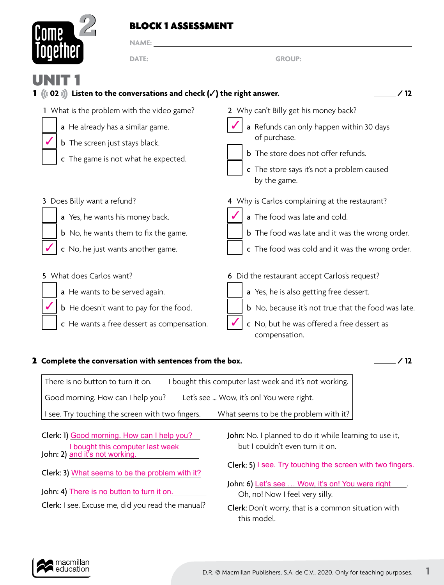## BLOCK 1 ASSESSMENT



**NAME:** 

| <b>TUYGHIGI</b><br><b>DATE:</b>                                                                                                                                | <b>GROUP:</b>                                                                                                                                                                                                 |
|----------------------------------------------------------------------------------------------------------------------------------------------------------------|---------------------------------------------------------------------------------------------------------------------------------------------------------------------------------------------------------------|
| UNI<br>1 ( $(02)$ ) Listen to the conversations and check ( $\checkmark$ ) the right answer.                                                                   |                                                                                                                                                                                                               |
| 1 What is the problem with the video game?<br>a He already has a similar game.<br><b>b</b> The screen just stays black.<br>c The game is not what he expected. | 2 Why can't Billy get his money back?<br>a Refunds can only happen within 30 days<br>of purchase.<br><b>b</b> The store does not offer refunds.<br>c The store says it's not a problem caused<br>by the game. |
| 3 Does Billy want a refund?<br>a Yes, he wants his money back.                                                                                                 | 4 Why is Carlos complaining at the restaurant?<br>a The food was late and cold.                                                                                                                               |

- b No, he wants them to fix the game.
- c No, he just wants another game.
- 5 What does Carlos want?
	- a He wants to be served again.
	- b He doesn't want to pay for the food.
	- c He wants a free dessert as compensation.
- 6 Did the restaurant accept Carlos's request?
	- a Yes, he is also getting free dessert.
	- **b** No, because it's not true that the food was late.

**b** The food was late and it was the wrong order.

c The food was cold and it was the wrong order.

c No, but he was offered a free dessert as compensation.

## **2** Complete the conversation with sentences from the box.  $\qquad \qquad \qquad$   $\qquad \qquad$  / 12

| There is no button to turn it on.                | I bought this computer last week and it's not working. |
|--------------------------------------------------|--------------------------------------------------------|
| Good morning. How can I help you?                | Let's see  Wow, it's on! You were right.               |
| I see. Try touching the screen with two fingers. | What seems to be the problem with it?                  |

- Clerk: 1) Good morning. How can I help you? John: 2) <u>and it's not working.</u> I bought this computer last week
- Clerk: 3) What seems to be the problem with it?
- John: 4) There is no button to turn it on.
- Clerk: I see. Excuse me, did you read the manual?
- John: No. I planned to do it while learning to use it, but I couldn't even turn it on.
- Clerk: 5) I see. Try touching the screen with two fingers.
- John: 6) Let's see ... Wow, it's on! You were right \_\_\_. Oh, no! Now I feel very silly.
- Clerk: Don't worry, that is a common situation with this model.

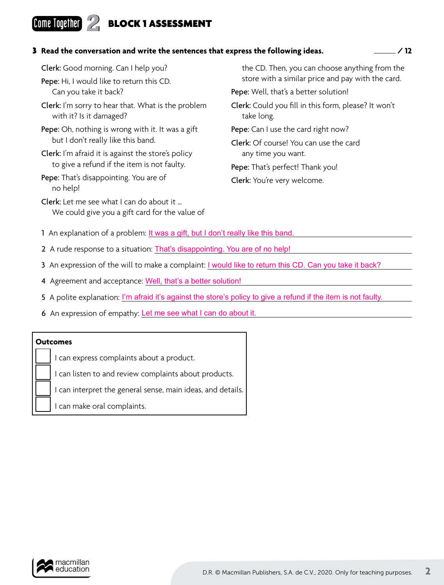# **Come Together 2 BLOCK 1 ASSESSMENT**

### 3 **Read the conversation and write the sentences that express the following ideas. / 12**

| the CD. Then, you can choose anything from the<br>store with a similar price and pay with the card. |
|-----------------------------------------------------------------------------------------------------|
|                                                                                                     |
| Clerk: Could you fill in this form, please? It won't<br>take long.                                  |
| Pepe: Can I use the card right now?                                                                 |
| <b>Clerk:</b> Of course! You can use the card                                                       |
| any time you want.                                                                                  |
| Pepe: That's perfect! Thank you!                                                                    |
| Clerk: You're very welcome.                                                                         |
|                                                                                                     |
|                                                                                                     |

1 An explanation of a problem: <u>It was a gift, but I don't really like this band.</u>

- 2 A rude response to a situation: *That's disappointing. You are of no help!*
- 3 An expression of the will to make a complaint: *I would like to return this CD. Can you take it back*?
- 4 Agreement and acceptance: Well, that's a better solution!
- 5 A polite explanation: I'm afraid it's against the store's policy to give a refund if the item is not faulty.
- 6 An expression of empathy: Let me see what I can do about it.

### **Outcomes**

I can express complaints about a product.

I can listen to and review complaints about products.

I can interpret the general sense, main ideas, and details.

I can make oral complaints.

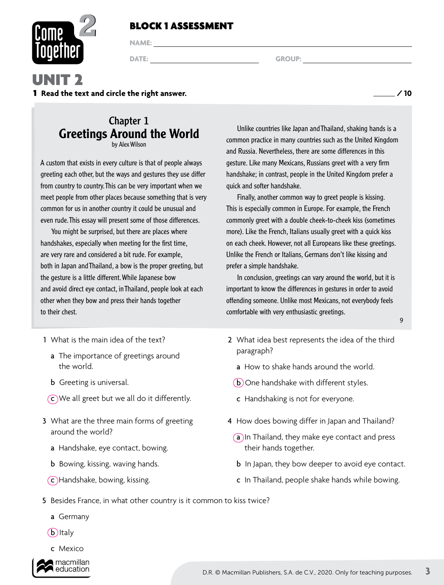## BLOCK 1 ASSESSMENT



**NAME:** 

**DATE:** GROUP: GROUP: **GROUP:**  $\qquad \qquad \text{GROUP:}$ 

# UNIT 2

1 **Read the text and circle the right answer. / 10**

## Chapter 1 Greetings Around the World by Alex Wilson

A custom that exists in every culture is that of people always greeting each other, but the ways and gestures they use differ from country to country. This can be very important when we meet people from other places because something that is very common for us in another country it could be unusual and even rude. This essay will present some of those differences.

You might be surprised, but there are places where handshakes, especially when meeting for the first time, are very rare and considered a bit rude. For example, both in Japan and Thailand, a bow is the proper greeting, but the gesture is a little different. While Japanese bow and avoid direct eye contact, in Thailand, people look at each other when they bow and press their hands together to their chest.

- 1 What is the main idea of the text?
	- a The importance of greetings around the world.
	- b Greeting is universal.
	- c We all greet but we all do it differently.
- 3 What are the three main forms of greeting around the world?
	- a Handshake, eye contact, bowing.
	- b Bowing, kissing, waving hands.
	- c Handshake, bowing, kissing.

Unlike countries like Japan and Thailand, shaking hands is a common practice in many countries such as the United Kingdom and Russia. Nevertheless, there are some differences in this gesture. Like many Mexicans, Russians greet with a very firm handshake; in contrast, people in the United Kingdom prefer a quick and softer handshake.

Finally, another common way to greet people is kissing. This is especially common in Europe. For example, the French commonly greet with a double cheek-to-cheek kiss (sometimes more). Like the French, Italians usually greet with a quick kiss on each cheek. However, not all Europeans like these greetings. Unlike the French or Italians, Germans don't like kissing and prefer a simple handshake.

In conclusion, greetings can vary around the world, but it is important to know the differences in gestures in order to avoid offending someone. Unlike most Mexicans, not everybody feels comfortable with very enthusiastic greetings.

- 2 What idea best represents the idea of the third paragraph?
	- a How to shake hands around the world.
	- b One handshake with different styles.
	- c Handshaking is not for everyone.
- 4 How does bowing differ in Japan and Thailand?
	- (a) In Thailand, they make eye contact and press their hands together.
	- b In Japan, they bow deeper to avoid eye contact.
	- c In Thailand, people shake hands while bowing.
- 5 Besides France, in what other country is it common to kiss twice?
	- a Germany
	- $(b)$ Italy
	- c Mexico



9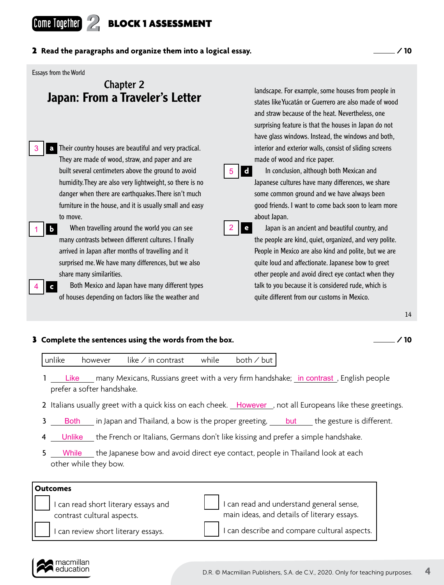# **Come Together 2 BLOCK 1 ASSESSMENT**

Essays from the World

## Chapter 2 Japan: From a Traveler's Letter

- Their country houses are beautiful and very practical. **a** They are made of wood, straw, and paper and are built several centimeters above the ground to avoid humidity. They are also very lightweight, so there is no danger when there are earthquakes. There isn't much furniture in the house, and it is usually small and easy to move. 3
- 1 **b** When travelling around the world you can see 2 many contrasts between different cultures. I finally arrived in Japan after months of travelling and it surprised me. We have many differences, but we also share many similarities.
	- Both Mexico and Japan have many different types of houses depending on factors like the weather and

landscape. For example, some houses from people in states like Yucatán or Guerrero are also made of wood and straw because of the heat. Nevertheless, one surprising feature is that the houses in Japan do not have glass windows. Instead, the windows and both, interior and exterior walls, consist of sliding screens made of wood and rice paper.



In conclusion, although both Mexican and Japanese cultures have many differences, we share some common ground and we have always been good friends. I want to come back soon to learn more about Japan.



Japan is an ancient and beautiful country, and the people are kind, quiet, organized, and very polite. People in Mexico are also kind and polite, but we are quite loud and affectionate. Japanese bow to greet other people and avoid direct eye contact when they talk to you because it is considered rude, which is quite different from our customs in Mexico.

#### 14

### 3 **Complete the sentences using the words from the box. / 10**



- 1 Like many Mexicans, Russians greet with a very firm handshake; in contrast, English people prefer a softer handshake.
- 2 Italians usually greet with a quick kiss on each cheek. However, not all Europeans like these greetings.
- 3 Both in Japan and Thailand, a bow is the proper greeting, but the gesture is different.
- 4 **Unlike** the French or Italians, Germans don't like kissing and prefer a simple handshake.
- 5 While the Japanese bow and avoid direct eye contact, people in Thailand look at each other while they bow. While

### **Outcomes**

**c**

4

 I can read short literary essays and contrast cultural aspects.

 I can read and understand general sense, main ideas, and details of literary essays.

I can describe and compare cultural aspects.

I can review short literary essays.

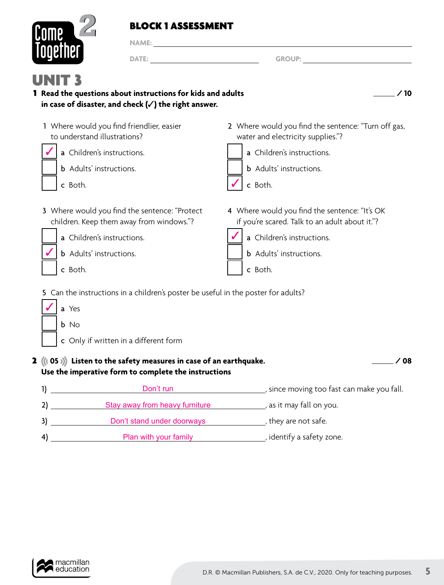## BLOCK 1 ASSESSMENT



**NAME:** 

**DATE:** GROUP:

| UNI<br>1 Read the questions about instructions for kids and adults<br>in case of disaster, and check $(\checkmark)$ the right answer.                                                                                                                                     | ∕ 10                                                                                                                                                                       |
|---------------------------------------------------------------------------------------------------------------------------------------------------------------------------------------------------------------------------------------------------------------------------|----------------------------------------------------------------------------------------------------------------------------------------------------------------------------|
| 1 Where would you find friendlier, easier<br>to understand illustrations?<br>a Children's instructions.<br><b>b</b> Adults' instructions.<br>c Both.                                                                                                                      | 2 Where would you find the sentence: "Turn off gas,<br>water and electricity supplies."?<br>a Children's instructions.<br><b>b</b> Adults' instructions.<br>c Both.        |
| 3 Where would you find the sentence: "Protect<br>children. Keep them away from windows."?<br>a Children's instructions.<br><b>b</b> Adults' instructions.<br>c Both.                                                                                                      | 4 Where would you find the sentence: "It's OK<br>if you're scared. Talk to an adult about it."?<br>a Children's instructions.<br><b>b</b> Adults' instructions.<br>c Both. |
| 5 Can the instructions in a children's poster be useful in the poster for adults?<br>a Yes<br>b No<br>c Only if written in a different form<br>2 $((05))$ Listen to the safety measures in case of an earthquake.<br>Use the imperative form to complete the instructions | ∕ 08                                                                                                                                                                       |
| Don't run<br>1)<br>Stay away from heavy furniture<br>2)                                                                                                                                                                                                                   | since moving too fast can make you fall.<br>s as it may fall on you.                                                                                                       |

- 3) \_\_\_\_\_\_\_\_\_\_\_\_\_\_\_\_\_Don't stand under doorways \_\_\_\_\_\_\_\_\_\_\_\_\_\_\_, they are not safe.
- 4) , identify a safety zone. Plan with your family